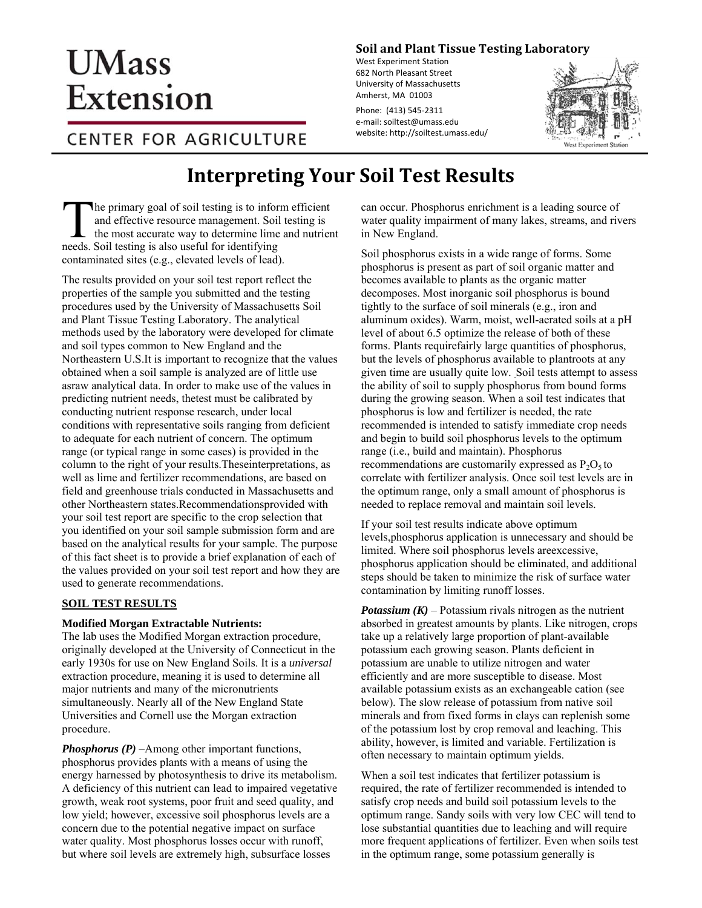

**Soil and Plant Nutrient Testing Laboratory**

203 Paige Laboratory 161 Holdsworth Way University of Massachusetts Amherst, MA 01003

Phone: (413) 545‐2311 e‐mail: soiltest@umass.edu website: http://soiltest.umass.edu/

# **Interpreting Your Soil Test Results**

he primary goal of soil testing is to inform efficient and effective resource management. Soil testing is  $\blacksquare$  the most accurate way to determine lime and nutrient The primary goal of soil testing is to informal and effective resource management. Soil the most accurate way to determine limineds. Soil testing is also useful for identifying contaminated sites (e.g., elevated levels of lead).

The results provided on your soil test report reflect the properties of the sample you submitted and the testing procedures used by the University of Massachusetts Soil and Plant Nutrient Testing Laboratory. The analytical methods used by the laboratory were developed for climate and soil types common to New England and the Northeastern U.S.It is important to recognize that the values obtained when a soil sample is analyzed are of little use as raw analytical data. In order to make use of the values in predicting nutrient needs, the test must be calibrated by conducting nutrient response research under local conditions with representative soils ranging from deficient to adequate for each nutrient of concern. The optimum range (or typical range in some cases) is provided in the column to the right of your results. These interpretations, as well as lime and fertilizer recommendations, are based on field and greenhouse trials conducted in Massachusetts and other Northeastern states.Recommendations provided with your soil test report are specific to the crop selection that you identified on your soil sample submission form and are based on the analytical results for your sample. The purpose of this fact sheet is to provide a brief explanation of each of the values provided on your soil test report and how they are used to generate recommendations.

# **SOIL TEST RESULTS**

## **Modified Morgan Extractable Nutrients:**

The lab uses the Modified Morgan extraction procedure, originally developed at the University of Connecticut in the early 1930s for use on New England Soils. It is a *universal*  extraction procedure, meaning it is used to determine all major nutrients and many of the micronutrients simultaneously. Nearly all of the New England State Universities and Cornell use the Morgan extraction procedure.

*Phosphorus (P)* –Among other important functions, phosphorus provides plants with a means of using the energy harnessed by photosynthesis to drive its metabolism. A deficiency of this nutrient can lead to impaired vegetative growth, weak root systems, poor fruit and seed quality, and low yield; however, excessive soil phosphorus levels are a concern due to the potential negative impact on surface water quality. Most phosphorus losses occur with runoff, but where soil levels are extremely high, subsurface losses

can occur. Phosphorus enrichment is a leading source of water quality impairment of many lakes, streams, and rivers in New England.

Soil phosphorus exists in a wide range of forms. Some phosphorus is present as part of soil organic matter and becomes available to plants as the organic matter decomposes. Most inorganic soil phosphorus is bound tightly to the surface of soil minerals (e.g., iron and aluminum oxides). Warm, moist, well-aerated soils at a pH level of about 6.5 optimize the release of both of these forms. Plants require fairly large quantities of phosphorus, but the levels of phosphorus available to plant roots at any given time are usually quite low. Soil tests attempt to assess the ability of soil to supply phosphorus from bound forms during the growing season. When a soil test indicates that phosphorus is low and fertilizer is needed, the rate recommended is intended to satisfy immediate crop needs and begin to build soil phosphorus levels to the optimum range (i.e., build and maintain). Phosphorus recommendations are customarily expressed as  $P_2O_5$  to correlate with fertilizer analysis. Once soil test levels are in the optimum range, only a small amount of phosphorus is needed to replace removal and maintain soil levels.

If your soil test results indicate above optimum levels, phosphorus application is unnecessary and should be limited. Where soil phosphorus levels are excessive, phosphorus application should be eliminated, and additional steps should be taken to minimize the risk of surface water contamination by limiting runoff losses.

*Potassium*  $(K)$  – Potassium rivals nitrogen as the nutrient absorbed in greatest amounts by plants. Like nitrogen, crops take up a relatively large proportion of plant-available potassium each growing season. Plants deficient in potassium are unable to utilize nitrogen and water efficiently and are more susceptible to disease. Most available potassium exists as an exchangeable cation (see below). The slow release of potassium from native soil minerals and from fixed forms in clays can replenish some of the potassium lost by crop removal and leaching. This ability, however, is limited and variable. Fertilization is often necessary to maintain optimum yields.

When a soil test indicates that fertilizer potassium is required, the rate of fertilizer recommended is intended to satisfy crop needs and build soil potassium levels to the optimum range. Sandy soils with very low CEC will tend to lose substantial quantities due to leaching and will require more frequent applications of fertilizer. Even when soils test in the optimum range, some potassium generally is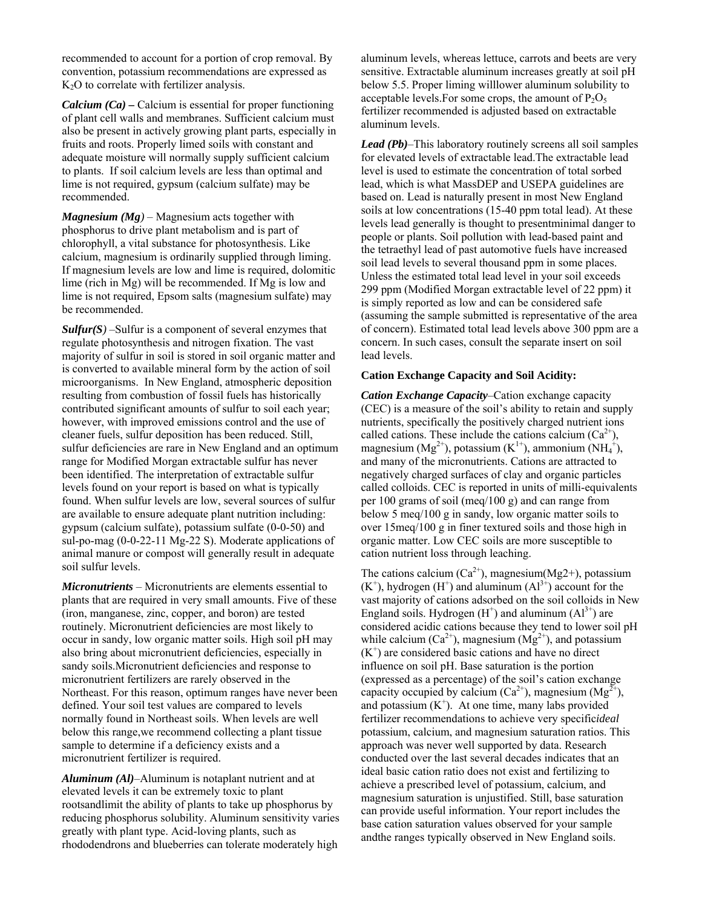recommended to account for a portion of crop removal. By convention, potassium recommendations are expressed as  $K<sub>2</sub>O$  to correlate with fertilizer analysis.

*Calcium (Ca)* **–** Calcium is essential for proper functioning of plant cell walls and membranes. Sufficient calcium must also be present in actively growing plant parts, especially in fruits and roots. Properly limed soils with constant and adequate moisture will normally supply sufficient calcium to plants. If soil calcium levels are less than optimal and lime is not required, gypsum (calcium sulfate) may be recommended.

*Magnesium (Mg)* – Magnesium acts together with phosphorus to drive plant metabolism and is part of chlorophyll, a vital substance for photosynthesis. Like calcium, magnesium is ordinarily supplied through liming. If magnesium levels are low and lime is required, dolomitic lime (rich in Mg) will be recommended. If Mg is low and lime is not required, Epsom salts (magnesium sulfate) may be recommended.

*Sulfur(S)* –Sulfur is a component of several enzymes that regulate photosynthesis and nitrogen fixation. The vast majority of sulfur in soil is stored in soil organic matter and is converted to available mineral form by the action of soil microorganisms. In New England, atmospheric deposition resulting from combustion of fossil fuels has historically contributed significant amounts of sulfur to soil each year; however, with improved emissions control and the use of cleaner fuels, sulfur deposition has been reduced. Still, sulfur deficiencies are rare in New England and an optimum range for Modified Morgan extractable sulfur has never been identified. The interpretation of extractable sulfur levels found on your report is based on what is typically found. When sulfur levels are low, several sources of sulfur are available to ensure adequate plant nutrition including: gypsum (calcium sulfate), potassium sulfate (0-0-50) and sul-po-mag (0-0-22-11 Mg-22 S). Moderate applications of animal manure or compost will generally result in adequate soil sulfur levels.

*Micronutrients* – Micronutrients are elements essential to plants that are required in very small amounts. Five of these (iron, manganese, zinc, copper, and boron) are tested routinely. Micronutrient deficiencies are most likely to occur in sandy, low organic matter soils. High soil pH may also bring about micronutrient deficiencies, especially in sandy soils.Micronutrient deficiencies and response to micronutrient fertilizers are rarely observed in the Northeast. For this reason, optimum ranges have never been defined. Your soil test values are compared to levels normally found in Northeast soils. When levels are well below this range,we recommend collecting a plant tissue sample to determine if a deficiency exists and a micronutrient fertilizer is required.

*Aluminum (Al)*–Aluminum is not a plant nutrient and at elevated levels it can be extremely toxic to plant roots and limit the ability of plants to take up phosphorus by reducing phosphorus solubility. Aluminum sensitivity varies greatly with plant type. Acid-loving plants, such as rhododendrons and blueberries can tolerate moderately high

aluminum levels, whereas lettuce, carrots and beets are very sensitive. Extractable aluminum increases greatly at soil pH below 5.5. Proper liming will lower aluminum solubility to acceptable levels. For some crops, the amount of  $P_2O_5$ fertilizer recommended is adjusted based on extractable aluminum levels.

*Lead (Pb)*–This laboratory routinely screens all soil samples for elevated levels of extractable lead.The extractable lead level is used to estimate the concentration of total sorbed lead, which is what MassDEP and USEPA guidelines are based on. Lead is naturally present in most New England soils at low concentrations (15-40 ppm total lead). At these levels lead generally is thought to present minimal danger to people or plants. Soil pollution with lead-based paint and the tetraethyl lead of past automotive fuels have increased soil lead levels to several thousand ppm in some places. Unless the estimated total lead level in your soil exceeds 299 ppm (Modified Morgan extractable level of 22 ppm) it is simply reported as low and can be considered safe (assuming the sample submitted is representative of the area of concern). Estimated total lead levels above 300 ppm are a concern. In such cases, consult the separate insert on soil lead levels.

## **Cation Exchange Capacity and Soil Acidity:**

*Cation Exchange Capacity*–Cation exchange capacity (CEC) is a measure of the soil's ability to retain and supply nutrients, specifically the positively charged nutrient ions called cations. These include the cations calcium  $(Ca^{2+})$ , magnesium ( $Mg^{2+}$ ), potassium ( $K^{1+}$ ), ammonium ( $NH_4^+$ ), and many of the micronutrients. Cations are attracted to negatively charged surfaces of clay and organic particles called colloids. CEC is reported in units of milli-equivalents per 100 grams of soil (meq/100 g) and can range from below 5 meq/100 g in sandy, low organic matter soils to over 15meq/100 g in finer textured soils and those high in organic matter. Low CEC soils are more susceptible to cation nutrient loss through leaching.

The cations calcium  $(Ca^{2+})$ , magnesium(Mg2+), potassium  $(K^+)$ , hydrogen  $(H^+)$  and aluminum  $(Al^{3+})$  account for the vast majority of cations adsorbed on the soil colloids in New England soils. Hydrogen  $(H<sup>+</sup>)$  and aluminum  $(A<sup>3+</sup>)$  are considered acidic cations because they tend to lower soil pH while calcium  $(Ca^{2+})$ , magnesium  $(Mg^{2+})$ , and potassium (K<sup>+</sup> ) are considered basic cations and have no direct influence on soil pH. Base saturation is the portion (expressed as a percentage) of the soil's cation exchange capacity occupied by calcium  $(Ca^{2+})$ , magnesium  $(Mg^{2+})$ , and potassium  $(K^+)$ . At one time, many labs provided fertilizer recommendations to achieve very specific *ideal* potassium, calcium, and magnesium saturation ratios. This approach was never well supported by data. Research conducted over the last several decades indicates that an ideal basic cation ratio does not exist and fertilizing to achieve a prescribed level of potassium, calcium, and magnesium saturation is unjustified. Still, base saturation can provide useful information. Your report includes the base cation saturation values observed for your sample and the ranges typically observed in New England soils.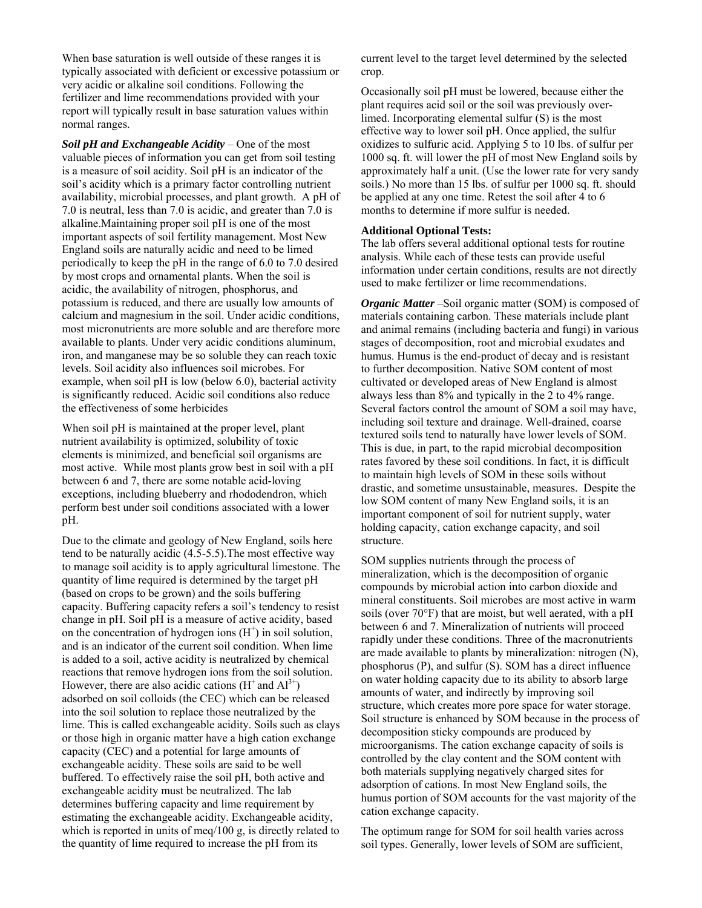When base saturation is well outside of these ranges it is typically associated with deficient or excessive potassium or very acidic or alkaline soil conditions. Following the fertilizer and lime recommendations provided with your report will typically result in base saturation values within normal ranges.

*Soil pH and Exchangeable Acidity* – One of the most valuable pieces of information you can get from soil testing is a measure of soil acidity. Soil pH is an indicator of the soil's acidity which is a primary factor controlling nutrient availability, microbial processes, and plant growth. A pH of 7.0 is neutral, less than 7.0 is acidic, and greater than 7.0 is alkaline. Maintaining proper soil pH is one of the most important aspects of soil fertility management. Most New England soils are naturally acidic and need to be limed periodically to keep the pH in the range of 6.0 to 7.0 desired by most crops and ornamental plants. When the soil is acidic, the availability of nitrogen, phosphorus, and potassium is reduced, and there are usually low amounts of calcium and magnesium in the soil. Under acidic conditions, most micronutrients are more soluble and are therefore more available to plants. Under very acidic conditions aluminum, iron, and manganese may be so soluble they can reach toxic levels. Soil acidity also influences soil microbes. For example, when soil pH is low (below 6.0), bacterial activity is significantly reduced. Acidic soil conditions also reduce the effectiveness of some herbicides

When soil pH is maintained at the proper level, plant nutrient availability is optimized, solubility of toxic elements is minimized, and beneficial soil organisms are most active. While most plants grow best in soil with a pH between 6 and 7, there are some notable acid-loving exceptions, including blueberry and rhododendron, which perform best under soil conditions associated with a lower pH.

Due to the climate and geology of New England, soils here tend to be naturally acidic (4.5-5.5).The most effective way to manage soil acidity is to apply agricultural limestone. The quantity of lime required is determined by the target pH (based on crops to be grown) and the soils buffering capacity. Buffering capacity refers a soil's tendency to resist change in pH. Soil pH is a measure of active acidity, based on the concentration of hydrogen ions  $(H<sup>+</sup>)$  in soil solution, and is an indicator of the current soil condition. When lime is added to a soil, active acidity is neutralized by chemical reactions that remove hydrogen ions from the soil solution. However, there are also acidic cations ( $H^+$  and  $Al^{3+}$ ) adsorbed on soil colloids (the CEC) which can be released into the soil solution to replace those neutralized by the lime. This is called exchangeable acidity. Soils such as clays or those high in organic matter have a high cation exchange capacity (CEC) and a potential for large amounts of exchangeable acidity. These soils are said to be well buffered. To effectively raise the soil pH, both active and exchangeable acidity must be neutralized. The lab determines buffering capacity and lime requirement by estimating the exchangeable acidity. Exchangeable acidity, which is reported in units of meq/100 g, is directly related to the quantity of lime required to increase the pH from its

current level to the target level determined by the selected crop.

Occasionally soil pH must be lowered, because either the plant requires acid soil or the soil was previously overlimed. Incorporating elemental sulfur (S) is the most effective way to lower soil pH. Once applied, the sulfur oxidizes to sulfuric acid. Applying 5 to 10 lbs. of sulfur per 1000 sq. ft. will lower the pH of most New England soils by approximately half a unit. (Use the lower rate for very sandy soils.) No more than 15 lbs. of sulfur per 1000 sq. ft. should be applied at any one time. Retest the soil after 4 to 6 months to determine if more sulfur is needed.

#### **Additional Optional Tests:**

The lab offers several additional optional tests for routine analysis. While each of these tests can provide useful information under certain conditions, results are not directly used to make fertilizer or lime recommendations.

*Organic Matter* –Soil organic matter (SOM) is composed of materials containing carbon. These materials include plant and animal remains (including bacteria and fungi) in various stages of decomposition, root and microbial exudates and humus. Humus is the end-product of decay and is resistant to further decomposition. Native SOM content of most cultivated or developed areas of New England is almost always less than 8% and typically in the 2 to 4% range. Several factors control the amount of SOM a soil may have, including soil texture and drainage. Well-drained, coarse textured soils tend to naturally have lower levels of SOM. This is due, in part, to the rapid microbial decomposition rates favored by these soil conditions. In fact, it is difficult to maintain high levels of SOM in these soils without drastic, and sometime unsustainable, measures. Despite the low SOM content of many New England soils, it is an important component of soil for nutrient supply, water holding capacity, cation exchange capacity, and soil structure.

SOM supplies nutrients through the process of mineralization, which is the decomposition of organic compounds by microbial action into carbon dioxide and mineral constituents. Soil microbes are most active in warm soils (over 70°F) that are moist, but well aerated, with a pH between 6 and 7. Mineralization of nutrients will proceed rapidly under these conditions. Three of the macronutrients are made available to plants by mineralization: nitrogen (N), phosphorus (P), and sulfur (S). SOM has a direct influence on water holding capacity due to its ability to absorb large amounts of water, and indirectly by improving soil structure, which creates more pore space for water storage. Soil structure is enhanced by SOM because in the process of decomposition sticky compounds are produced by microorganisms. The cation exchange capacity of soils is controlled by the clay content and the SOM content with both materials supplying negatively charged sites for adsorption of cations. In most New England soils, the humus portion of SOM accounts for the vast majority of the cation exchange capacity.

The optimum range for SOM for soil health varies across soil types. Generally, lower levels of SOM are sufficient,